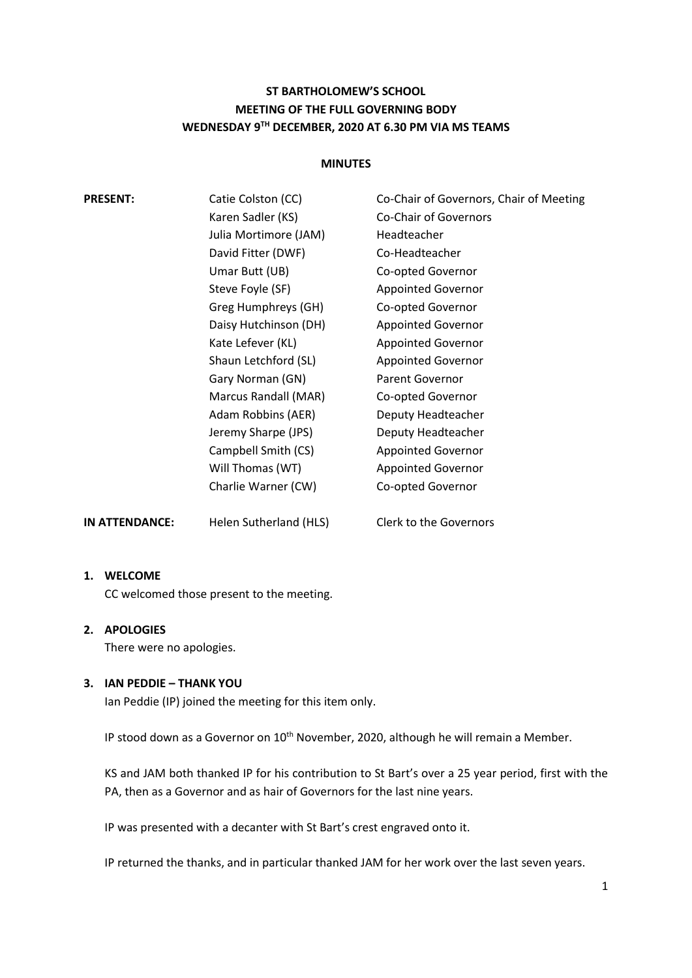# **ST BARTHOLOMEW'S SCHOOL MEETING OF THE FULL GOVERNING BODY WEDNESDAY 9TH DECEMBER, 2020 AT 6.30 PM VIA MS TEAMS**

#### **MINUTES**

| <b>PRESENT:</b> | Catie Colston (CC)    | Co-Chair of Governors, Chair of Meeting |
|-----------------|-----------------------|-----------------------------------------|
|                 | Karen Sadler (KS)     | <b>Co-Chair of Governors</b>            |
|                 | Julia Mortimore (JAM) | Headteacher                             |
|                 | David Fitter (DWF)    | Co-Headteacher                          |
|                 | Umar Butt (UB)        | Co-opted Governor                       |
|                 | Steve Foyle (SF)      | <b>Appointed Governor</b>               |
|                 | Greg Humphreys (GH)   | Co-opted Governor                       |
|                 | Daisy Hutchinson (DH) | <b>Appointed Governor</b>               |
|                 | Kate Lefever (KL)     | <b>Appointed Governor</b>               |
|                 | Shaun Letchford (SL)  | <b>Appointed Governor</b>               |
|                 | Gary Norman (GN)      | <b>Parent Governor</b>                  |
|                 | Marcus Randall (MAR)  | Co-opted Governor                       |
|                 | Adam Robbins (AER)    | Deputy Headteacher                      |
|                 | Jeremy Sharpe (JPS)   | Deputy Headteacher                      |
|                 | Campbell Smith (CS)   | <b>Appointed Governor</b>               |
|                 | Will Thomas (WT)      | <b>Appointed Governor</b>               |
|                 | Charlie Warner (CW)   | Co-opted Governor                       |
|                 |                       |                                         |

**1. WELCOME**

CC welcomed those present to the meeting.

# **2. APOLOGIES**

There were no apologies.

# **3. IAN PEDDIE – THANK YOU**

Ian Peddie (IP) joined the meeting for this item only.

IP stood down as a Governor on 10<sup>th</sup> November, 2020, although he will remain a Member.

KS and JAM both thanked IP for his contribution to St Bart's over a 25 year period, first with the PA, then as a Governor and as hair of Governors for the last nine years.

IP was presented with a decanter with St Bart's crest engraved onto it.

**IN ATTENDANCE:** Helen Sutherland (HLS) Clerk to the Governors

IP returned the thanks, and in particular thanked JAM for her work over the last seven years.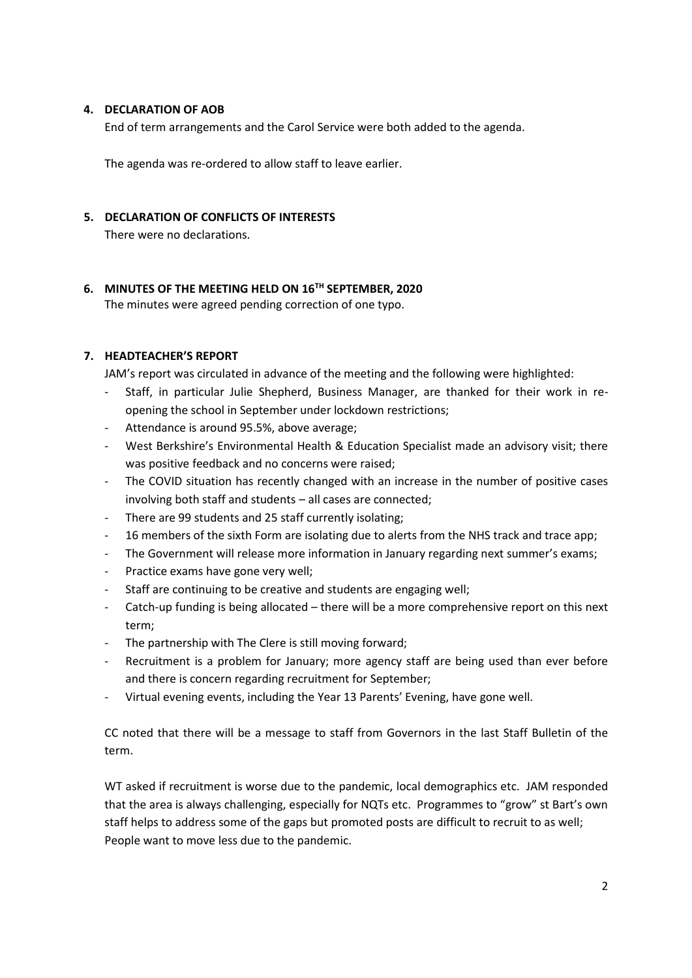## **4. DECLARATION OF AOB**

End of term arrangements and the Carol Service were both added to the agenda.

The agenda was re-ordered to allow staff to leave earlier.

## **5. DECLARATION OF CONFLICTS OF INTERESTS**

There were no declarations.

# **6. MINUTES OF THE MEETING HELD ON 16TH SEPTEMBER, 2020**

The minutes were agreed pending correction of one typo.

# **7. HEADTEACHER'S REPORT**

JAM's report was circulated in advance of the meeting and the following were highlighted:

- Staff, in particular Julie Shepherd, Business Manager, are thanked for their work in reopening the school in September under lockdown restrictions;
- Attendance is around 95.5%, above average;
- West Berkshire's Environmental Health & Education Specialist made an advisory visit; there was positive feedback and no concerns were raised;
- The COVID situation has recently changed with an increase in the number of positive cases involving both staff and students – all cases are connected;
- There are 99 students and 25 staff currently isolating;
- 16 members of the sixth Form are isolating due to alerts from the NHS track and trace app;
- The Government will release more information in January regarding next summer's exams;
- Practice exams have gone very well;
- Staff are continuing to be creative and students are engaging well;
- Catch-up funding is being allocated there will be a more comprehensive report on this next term;
- The partnership with The Clere is still moving forward:
- Recruitment is a problem for January; more agency staff are being used than ever before and there is concern regarding recruitment for September;
- Virtual evening events, including the Year 13 Parents' Evening, have gone well.

CC noted that there will be a message to staff from Governors in the last Staff Bulletin of the term.

WT asked if recruitment is worse due to the pandemic, local demographics etc. JAM responded that the area is always challenging, especially for NQTs etc. Programmes to "grow" st Bart's own staff helps to address some of the gaps but promoted posts are difficult to recruit to as well; People want to move less due to the pandemic.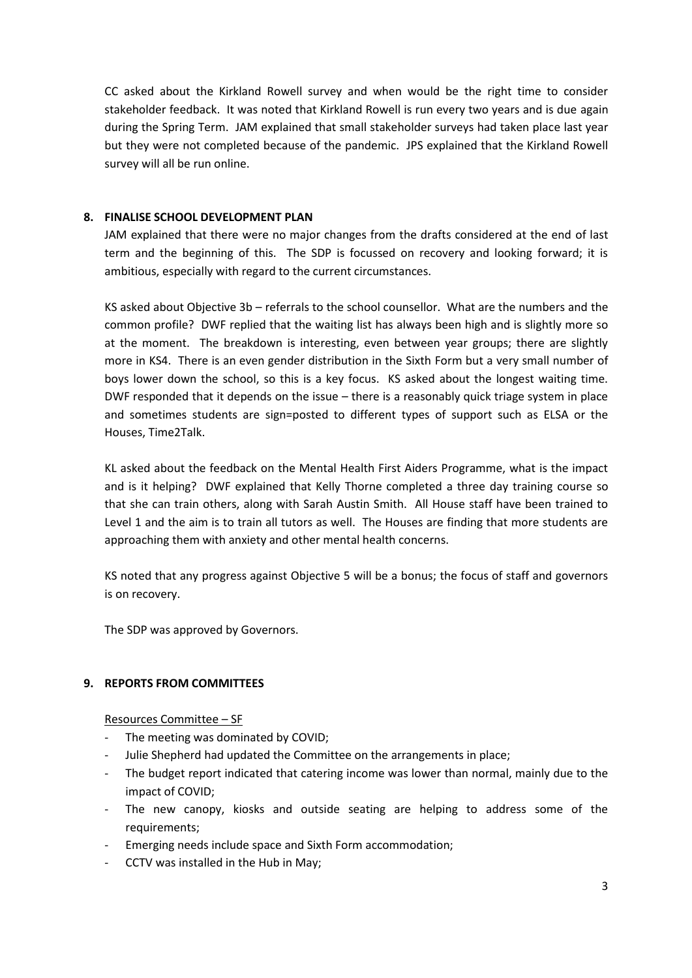CC asked about the Kirkland Rowell survey and when would be the right time to consider stakeholder feedback. It was noted that Kirkland Rowell is run every two years and is due again during the Spring Term. JAM explained that small stakeholder surveys had taken place last year but they were not completed because of the pandemic. JPS explained that the Kirkland Rowell survey will all be run online.

## **8. FINALISE SCHOOL DEVELOPMENT PLAN**

JAM explained that there were no major changes from the drafts considered at the end of last term and the beginning of this. The SDP is focussed on recovery and looking forward; it is ambitious, especially with regard to the current circumstances.

KS asked about Objective 3b – referrals to the school counsellor. What are the numbers and the common profile? DWF replied that the waiting list has always been high and is slightly more so at the moment. The breakdown is interesting, even between year groups; there are slightly more in KS4. There is an even gender distribution in the Sixth Form but a very small number of boys lower down the school, so this is a key focus. KS asked about the longest waiting time. DWF responded that it depends on the issue – there is a reasonably quick triage system in place and sometimes students are sign=posted to different types of support such as ELSA or the Houses, Time2Talk.

KL asked about the feedback on the Mental Health First Aiders Programme, what is the impact and is it helping? DWF explained that Kelly Thorne completed a three day training course so that she can train others, along with Sarah Austin Smith. All House staff have been trained to Level 1 and the aim is to train all tutors as well. The Houses are finding that more students are approaching them with anxiety and other mental health concerns.

KS noted that any progress against Objective 5 will be a bonus; the focus of staff and governors is on recovery.

The SDP was approved by Governors.

#### **9. REPORTS FROM COMMITTEES**

#### Resources Committee – SF

- The meeting was dominated by COVID;
- Julie Shepherd had updated the Committee on the arrangements in place;
- The budget report indicated that catering income was lower than normal, mainly due to the impact of COVID;
- The new canopy, kiosks and outside seating are helping to address some of the requirements;
- Emerging needs include space and Sixth Form accommodation;
- CCTV was installed in the Hub in May;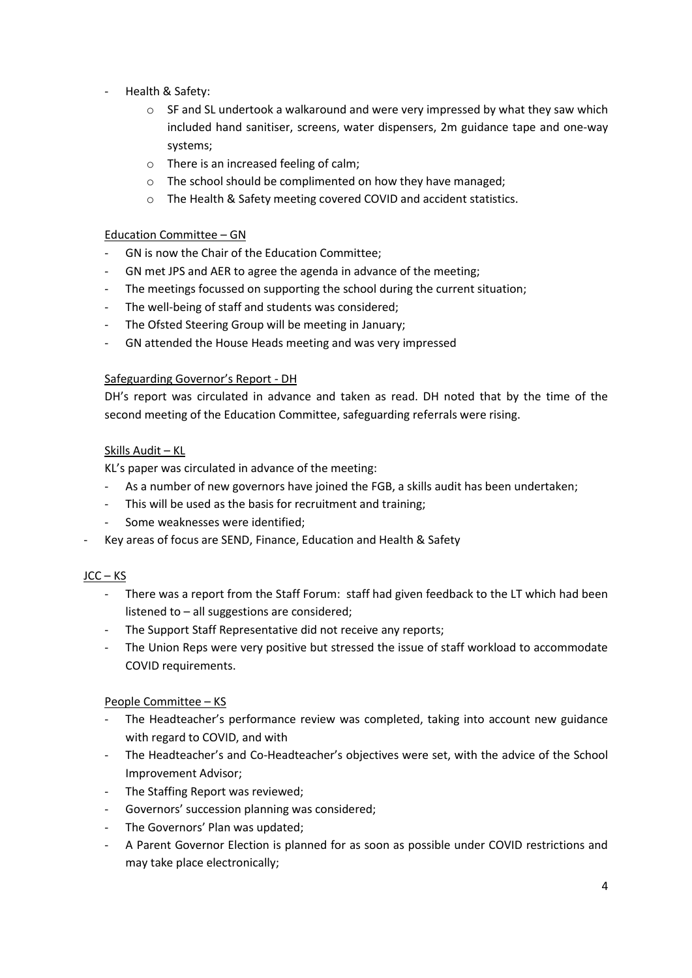- Health & Safety:
	- $\circ$  SF and SL undertook a walkaround and were very impressed by what they saw which included hand sanitiser, screens, water dispensers, 2m guidance tape and one-way systems;
	- o There is an increased feeling of calm;
	- o The school should be complimented on how they have managed;
	- o The Health & Safety meeting covered COVID and accident statistics.

## Education Committee – GN

- GN is now the Chair of the Education Committee;
- GN met JPS and AER to agree the agenda in advance of the meeting;
- The meetings focussed on supporting the school during the current situation;
- The well-being of staff and students was considered;
- The Ofsted Steering Group will be meeting in January;
- GN attended the House Heads meeting and was very impressed

## Safeguarding Governor's Report - DH

DH's report was circulated in advance and taken as read. DH noted that by the time of the second meeting of the Education Committee, safeguarding referrals were rising.

# Skills Audit – KL

KL's paper was circulated in advance of the meeting:

- As a number of new governors have joined the FGB, a skills audit has been undertaken;
- This will be used as the basis for recruitment and training;
- Some weaknesses were identified;
- Key areas of focus are SEND, Finance, Education and Health & Safety

# $JC - KS$

- There was a report from the Staff Forum: staff had given feedback to the LT which had been listened to – all suggestions are considered;
- The Support Staff Representative did not receive any reports;
- The Union Reps were very positive but stressed the issue of staff workload to accommodate COVID requirements.

# People Committee – KS

- The Headteacher's performance review was completed, taking into account new guidance with regard to COVID, and with
- The Headteacher's and Co-Headteacher's objectives were set, with the advice of the School Improvement Advisor;
- The Staffing Report was reviewed;
- Governors' succession planning was considered;
- The Governors' Plan was updated;
- A Parent Governor Election is planned for as soon as possible under COVID restrictions and may take place electronically;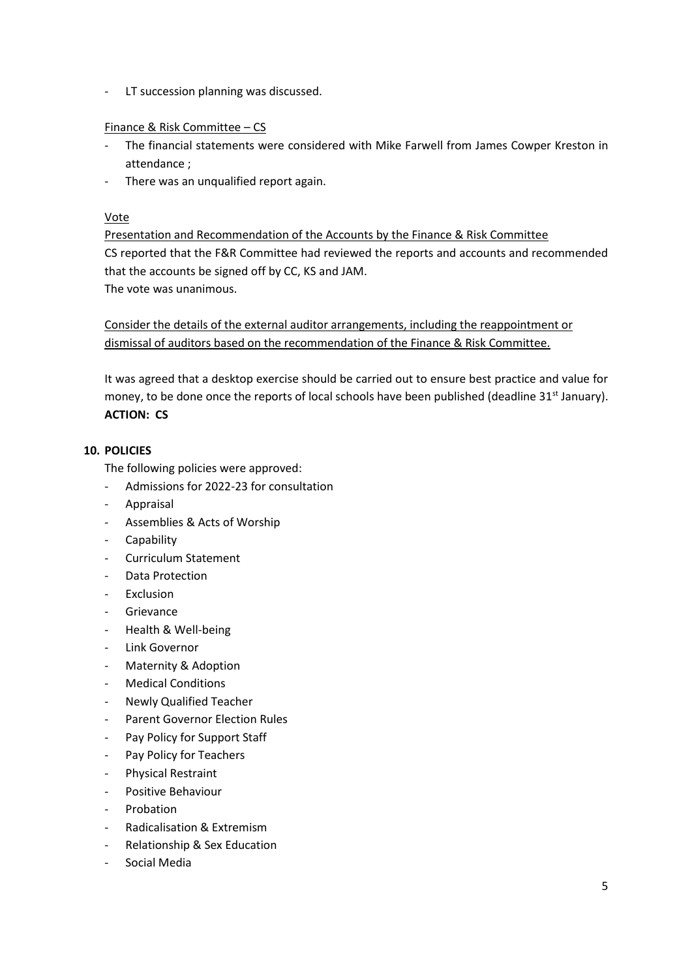- LT succession planning was discussed.

## Finance & Risk Committee – CS

- The financial statements were considered with Mike Farwell from James Cowper Kreston in attendance ;
- There was an unqualified report again.

## Vote

Presentation and Recommendation of the Accounts by the Finance & Risk Committee CS reported that the F&R Committee had reviewed the reports and accounts and recommended that the accounts be signed off by CC, KS and JAM.

The vote was unanimous.

Consider the details of the external auditor arrangements, including the reappointment or dismissal of auditors based on the recommendation of the Finance & Risk Committee.

It was agreed that a desktop exercise should be carried out to ensure best practice and value for money, to be done once the reports of local schools have been published (deadline  $31<sup>st</sup>$  January). **ACTION: CS**

## **10. POLICIES**

The following policies were approved:

- Admissions for 2022-23 for consultation
- Appraisal
- Assemblies & Acts of Worship
- Capability
- Curriculum Statement
- Data Protection
- **Exclusion**
- **Grievance**
- Health & Well-being
- Link Governor
- Maternity & Adoption
- Medical Conditions
- Newly Qualified Teacher
- Parent Governor Election Rules
- Pay Policy for Support Staff
- Pay Policy for Teachers
- Physical Restraint
- Positive Behaviour
- **Probation**
- Radicalisation & Extremism
- Relationship & Sex Education
- Social Media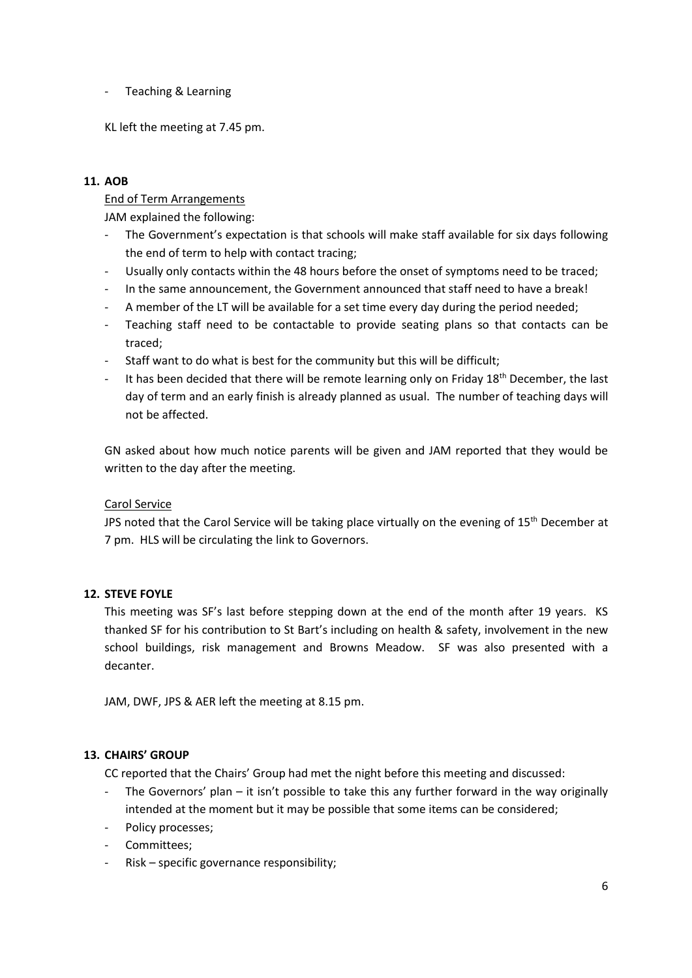- Teaching & Learning

KL left the meeting at 7.45 pm.

# **11. AOB**

End of Term Arrangements

JAM explained the following:

- The Government's expectation is that schools will make staff available for six days following the end of term to help with contact tracing;
- Usually only contacts within the 48 hours before the onset of symptoms need to be traced;
- In the same announcement, the Government announced that staff need to have a break!
- A member of the LT will be available for a set time every day during the period needed;
- Teaching staff need to be contactable to provide seating plans so that contacts can be traced;
- Staff want to do what is best for the community but this will be difficult;
- It has been decided that there will be remote learning only on Friday  $18<sup>th</sup>$  December, the last day of term and an early finish is already planned as usual. The number of teaching days will not be affected.

GN asked about how much notice parents will be given and JAM reported that they would be written to the day after the meeting.

# Carol Service

JPS noted that the Carol Service will be taking place virtually on the evening of 15<sup>th</sup> December at 7 pm. HLS will be circulating the link to Governors.

# **12. STEVE FOYLE**

This meeting was SF's last before stepping down at the end of the month after 19 years. KS thanked SF for his contribution to St Bart's including on health & safety, involvement in the new school buildings, risk management and Browns Meadow. SF was also presented with a decanter.

JAM, DWF, JPS & AER left the meeting at 8.15 pm.

# **13. CHAIRS' GROUP**

CC reported that the Chairs' Group had met the night before this meeting and discussed:

- The Governors' plan it isn't possible to take this any further forward in the way originally intended at the moment but it may be possible that some items can be considered;
- Policy processes;
- Committees;
- Risk specific governance responsibility;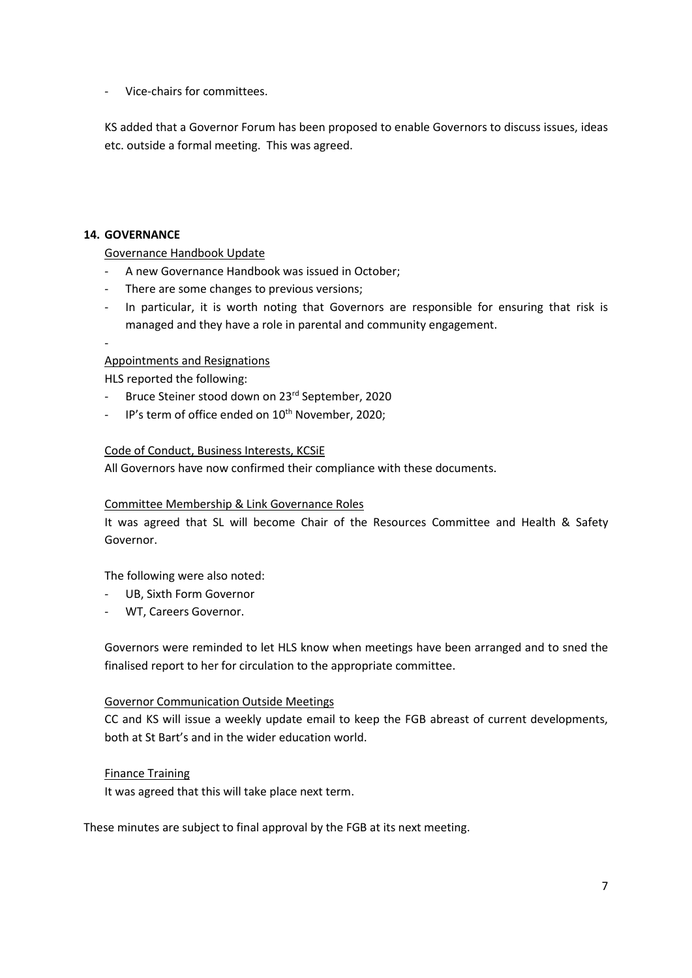- Vice-chairs for committees.

KS added that a Governor Forum has been proposed to enable Governors to discuss issues, ideas etc. outside a formal meeting. This was agreed.

## **14. GOVERNANCE**

Governance Handbook Update

- A new Governance Handbook was issued in October;
- There are some changes to previous versions;
- In particular, it is worth noting that Governors are responsible for ensuring that risk is managed and they have a role in parental and community engagement.
- -

## Appointments and Resignations

HLS reported the following:

- Bruce Steiner stood down on 23rd September, 2020
- IP's term of office ended on 10<sup>th</sup> November, 2020;

#### Code of Conduct, Business Interests, KCSiE

All Governors have now confirmed their compliance with these documents.

#### Committee Membership & Link Governance Roles

It was agreed that SL will become Chair of the Resources Committee and Health & Safety Governor.

The following were also noted:

- UB, Sixth Form Governor
- WT. Careers Governor.

Governors were reminded to let HLS know when meetings have been arranged and to sned the finalised report to her for circulation to the appropriate committee.

#### Governor Communication Outside Meetings

CC and KS will issue a weekly update email to keep the FGB abreast of current developments, both at St Bart's and in the wider education world.

#### Finance Training

It was agreed that this will take place next term.

These minutes are subject to final approval by the FGB at its next meeting.